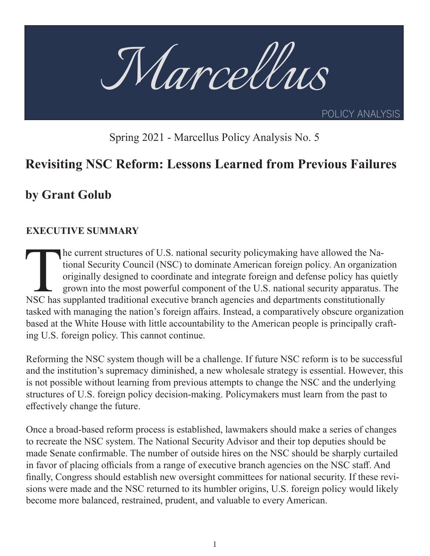

Spring 2021 - Marcellus Policy Analysis No. 5

# **Revisiting NSC Reform: Lessons Learned from Previous Failures**

# **by Grant Golub**

#### **EXECUTIVE SUMMARY**

The current structures of U.S. national security policymaking have allowed the National Security Council (NSC) to dominate American foreign policy. An organizat originally designed to coordinate and integrate foreign and d tional Security Council (NSC) to dominate American foreign policy. An organization originally designed to coordinate and integrate foreign and defense policy has quietly grown into the most powerful component of the U.S. national security apparatus. The NSC has supplanted traditional executive branch agencies and departments constitutionally tasked with managing the nation's foreign affairs. Instead, a comparatively obscure organization based at the White House with little accountability to the American people is principally crafting U.S. foreign policy. This cannot continue.

Reforming the NSC system though will be a challenge. If future NSC reform is to be successful and the institution's supremacy diminished, a new wholesale strategy is essential. However, this is not possible without learning from previous attempts to change the NSC and the underlying structures of U.S. foreign policy decision-making. Policymakers must learn from the past to effectively change the future.

Once a broad-based reform process is established, lawmakers should make a series of changes to recreate the NSC system. The National Security Advisor and their top deputies should be made Senate confirmable. The number of outside hires on the NSC should be sharply curtailed in favor of placing officials from a range of executive branch agencies on the NSC staff. And finally, Congress should establish new oversight committees for national security. If these revisions were made and the NSC returned to its humbler origins, U.S. foreign policy would likely become more balanced, restrained, prudent, and valuable to every American.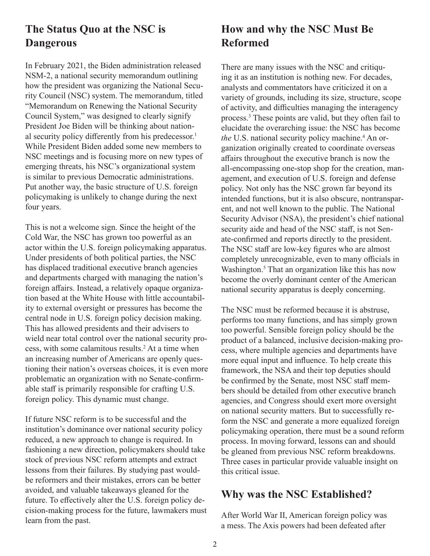### **The Status Quo at the NSC is Dangerous**

In February 2021, the Biden administration released NSM-2, a national security memorandum outlining how the president was organizing the National Security Council (NSC) system. The memorandum, titled "Memorandum on Renewing the National Security Council System," was designed to clearly signify President Joe Biden will be thinking about national security policy differently from his predecessor.<sup>1</sup> While President Biden added some new members to NSC meetings and is focusing more on new types of emerging threats, his NSC's organizational system is similar to previous Democratic administrations. Put another way, the basic structure of U.S. foreign policymaking is unlikely to change during the next four years.

This is not a welcome sign. Since the height of the Cold War, the NSC has grown too powerful as an actor within the U.S. foreign policymaking apparatus. Under presidents of both political parties, the NSC has displaced traditional executive branch agencies and departments charged with managing the nation's foreign affairs. Instead, a relatively opaque organization based at the White House with little accountability to external oversight or pressures has become the central node in U.S. foreign policy decision making. This has allowed presidents and their advisers to wield near total control over the national security process, with some calamitous results.<sup>2</sup> At a time when an increasing number of Americans are openly questioning their nation's overseas choices, it is even more problematic an organization with no Senate-confirmable staff is primarily responsible for crafting U.S. foreign policy. This dynamic must change.

If future NSC reform is to be successful and the institution's dominance over national security policy reduced, a new approach to change is required. In fashioning a new direction, policymakers should take stock of previous NSC reform attempts and extract lessons from their failures. By studying past wouldbe reformers and their mistakes, errors can be better avoided, and valuable takeaways gleaned for the future. To effectively alter the U.S. foreign policy decision-making process for the future, lawmakers must learn from the past.

# **How and why the NSC Must Be Reformed**

There are many issues with the NSC and critiquing it as an institution is nothing new. For decades, analysts and commentators have criticized it on a variety of grounds, including its size, structure, scope of activity, and difficulties managing the interagency process.3 These points are valid, but they often fail to elucidate the overarching issue: the NSC has become the U.S. national security policy machine.<sup>4</sup> An organization originally created to coordinate overseas affairs throughout the executive branch is now the all-encompassing one-stop shop for the creation, management, and execution of U.S. foreign and defense policy. Not only has the NSC grown far beyond its intended functions, but it is also obscure, nontransparent, and not well known to the public. The National Security Advisor (NSA), the president's chief national security aide and head of the NSC staff, is not Senate-confirmed and reports directly to the president. The NSC staff are low-key figures who are almost completely unrecognizable, even to many officials in Washington.<sup>5</sup> That an organization like this has now become the overly dominant center of the American national security apparatus is deeply concerning.

The NSC must be reformed because it is abstruse, performs too many functions, and has simply grown too powerful. Sensible foreign policy should be the product of a balanced, inclusive decision-making process, where multiple agencies and departments have more equal input and influence. To help create this framework, the NSA and their top deputies should be confirmed by the Senate, most NSC staff members should be detailed from other executive branch agencies, and Congress should exert more oversight on national security matters. But to successfully reform the NSC and generate a more equalized foreign policymaking operation, there must be a sound reform process. In moving forward, lessons can and should be gleaned from previous NSC reform breakdowns. Three cases in particular provide valuable insight on this critical issue.

#### **Why was the NSC Established?**

After World War II, American foreign policy was a mess. The Axis powers had been defeated after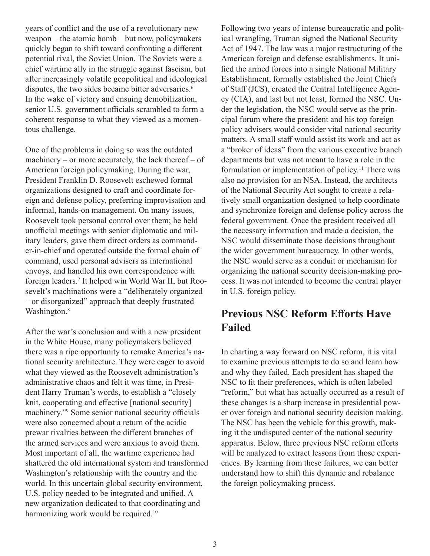years of conflict and the use of a revolutionary new weapon – the atomic bomb – but now, policymakers quickly began to shift toward confronting a different potential rival, the Soviet Union. The Soviets were a chief wartime ally in the struggle against fascism, but after increasingly volatile geopolitical and ideological disputes, the two sides became bitter adversaries.<sup>6</sup> In the wake of victory and ensuing demobilization, senior U.S. government officials scrambled to form a coherent response to what they viewed as a momentous challenge.

One of the problems in doing so was the outdated machinery – or more accurately, the lack thereof – of American foreign policymaking. During the war, President Franklin D. Roosevelt eschewed formal organizations designed to craft and coordinate foreign and defense policy, preferring improvisation and informal, hands-on management. On many issues, Roosevelt took personal control over them; he held unofficial meetings with senior diplomatic and military leaders, gave them direct orders as commander-in-chief and operated outside the formal chain of command, used personal advisers as international envoys, and handled his own correspondence with foreign leaders.7 It helped win World War II, but Roosevelt's machinations were a "deliberately organized – or disorganized" approach that deeply frustrated Washington.<sup>8</sup>

After the war's conclusion and with a new president in the White House, many policymakers believed there was a ripe opportunity to remake America's national security architecture. They were eager to avoid what they viewed as the Roosevelt administration's administrative chaos and felt it was time, in President Harry Truman's words, to establish a "closely knit, cooperating and effective [national security] machinery."<sup>9</sup> Some senior national security officials were also concerned about a return of the acidic prewar rivalries between the different branches of the armed services and were anxious to avoid them. Most important of all, the wartime experience had shattered the old international system and transformed Washington's relationship with the country and the world. In this uncertain global security environment, U.S. policy needed to be integrated and unified. A new organization dedicated to that coordinating and harmonizing work would be required.<sup>10</sup>

Following two years of intense bureaucratic and political wrangling, Truman signed the National Security Act of 1947. The law was a major restructuring of the American foreign and defense establishments. It unified the armed forces into a single National Military Establishment, formally established the Joint Chiefs of Staff (JCS), created the Central Intelligence Agency (CIA), and last but not least, formed the NSC. Under the legislation, the NSC would serve as the principal forum where the president and his top foreign policy advisers would consider vital national security matters. A small staff would assist its work and act as a "broker of ideas" from the various executive branch departments but was not meant to have a role in the formulation or implementation of policy.<sup>11</sup> There was also no provision for an NSA. Instead, the architects of the National Security Act sought to create a relatively small organization designed to help coordinate and synchronize foreign and defense policy across the federal government. Once the president received all the necessary information and made a decision, the NSC would disseminate those decisions throughout the wider government bureaucracy. In other words, the NSC would serve as a conduit or mechanism for organizing the national security decision-making process. It was not intended to become the central player in U.S. foreign policy.

## **Previous NSC Reform Efforts Have Failed**

In charting a way forward on NSC reform, it is vital to examine previous attempts to do so and learn how and why they failed. Each president has shaped the NSC to fit their preferences, which is often labeled "reform," but what has actually occurred as a result of these changes is a sharp increase in presidential power over foreign and national security decision making. The NSC has been the vehicle for this growth, making it the undisputed center of the national security apparatus. Below, three previous NSC reform efforts will be analyzed to extract lessons from those experiences. By learning from these failures, we can better understand how to shift this dynamic and rebalance the foreign policymaking process.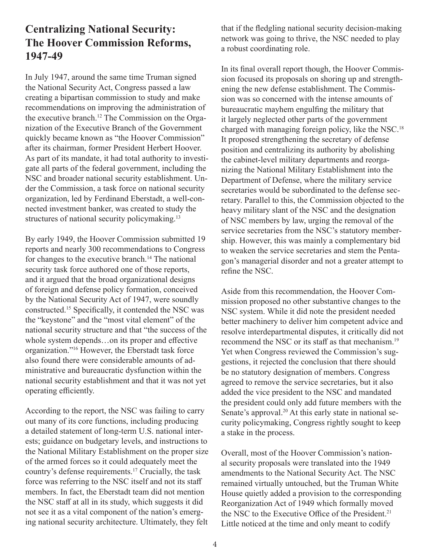### **Centralizing National Security: The Hoover Commission Reforms, 1947-49**

In July 1947, around the same time Truman signed the National Security Act, Congress passed a law creating a bipartisan commission to study and make recommendations on improving the administration of the executive branch.12 The Commission on the Organization of the Executive Branch of the Government quickly became known as "the Hoover Commission" after its chairman, former President Herbert Hoover. As part of its mandate, it had total authority to investigate all parts of the federal government, including the NSC and broader national security establishment. Under the Commission, a task force on national security organization, led by Ferdinand Eberstadt, a well-connected investment banker, was created to study the structures of national security policymaking.<sup>13</sup>

By early 1949, the Hoover Commission submitted 19 reports and nearly 300 recommendations to Congress for changes to the executive branch.<sup>14</sup> The national security task force authored one of those reports, and it argued that the broad organizational designs of foreign and defense policy formation, conceived by the National Security Act of 1947, were soundly constructed.15 Specifically, it contended the NSC was the "keystone" and the "most vital element" of the national security structure and that "the success of the whole system depends…on its proper and effective organization."<sup>16</sup> However, the Eberstadt task force also found there were considerable amounts of administrative and bureaucratic dysfunction within the national security establishment and that it was not yet operating efficiently.

According to the report, the NSC was failing to carry out many of its core functions, including producing a detailed statement of long-term U.S. national interests; guidance on budgetary levels, and instructions to the National Military Establishment on the proper size of the armed forces so it could adequately meet the country's defense requirements.17 Crucially, the task force was referring to the NSC itself and not its staff members. In fact, the Eberstadt team did not mention the NSC staff at all in its study, which suggests it did not see it as a vital component of the nation's emerging national security architecture. Ultimately, they felt

that if the fledgling national security decision-making network was going to thrive, the NSC needed to play a robust coordinating role.

In its final overall report though, the Hoover Commission focused its proposals on shoring up and strengthening the new defense establishment. The Commission was so concerned with the intense amounts of bureaucratic mayhem engulfing the military that it largely neglected other parts of the government charged with managing foreign policy, like the NSC.<sup>18</sup> It proposed strengthening the secretary of defense position and centralizing its authority by abolishing the cabinet-level military departments and reorganizing the National Military Establishment into the Department of Defense, where the military service secretaries would be subordinated to the defense secretary. Parallel to this, the Commission objected to the heavy military slant of the NSC and the designation of NSC members by law, urging the removal of the service secretaries from the NSC's statutory membership. However, this was mainly a complementary bid to weaken the service secretaries and stem the Pentagon's managerial disorder and not a greater attempt to refine the NSC.

Aside from this recommendation, the Hoover Commission proposed no other substantive changes to the NSC system. While it did note the president needed better machinery to deliver him competent advice and resolve interdepartmental disputes, it critically did not recommend the NSC or its staff as that mechanism.<sup>19</sup> Yet when Congress reviewed the Commission's suggestions, it rejected the conclusion that there should be no statutory designation of members. Congress agreed to remove the service secretaries, but it also added the vice president to the NSC and mandated the president could only add future members with the Senate's approval.<sup>20</sup> At this early state in national security policymaking, Congress rightly sought to keep a stake in the process.

Overall, most of the Hoover Commission's national security proposals were translated into the 1949 amendments to the National Security Act. The NSC remained virtually untouched, but the Truman White House quietly added a provision to the corresponding Reorganization Act of 1949 which formally moved the NSC to the Executive Office of the President.<sup>21</sup> Little noticed at the time and only meant to codify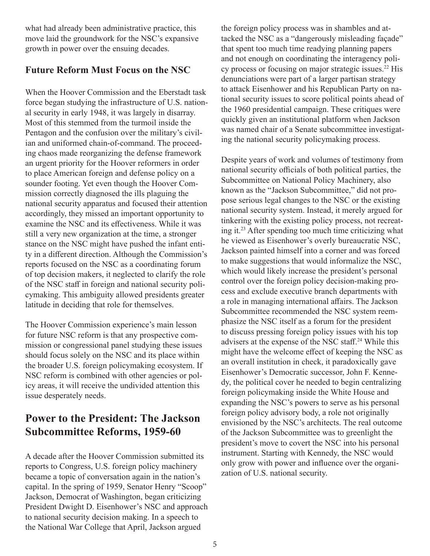what had already been administrative practice, this move laid the groundwork for the NSC's expansive growth in power over the ensuing decades.

#### **Future Reform Must Focus on the NSC**

When the Hoover Commission and the Eberstadt task force began studying the infrastructure of U.S. national security in early 1948, it was largely in disarray. Most of this stemmed from the turmoil inside the Pentagon and the confusion over the military's civilian and uniformed chain-of-command. The proceeding chaos made reorganizing the defense framework an urgent priority for the Hoover reformers in order to place American foreign and defense policy on a sounder footing. Yet even though the Hoover Commission correctly diagnosed the ills plaguing the national security apparatus and focused their attention accordingly, they missed an important opportunity to examine the NSC and its effectiveness. While it was still a very new organization at the time, a stronger stance on the NSC might have pushed the infant entity in a different direction. Although the Commission's reports focused on the NSC as a coordinating forum of top decision makers, it neglected to clarify the role of the NSC staff in foreign and national security policymaking. This ambiguity allowed presidents greater latitude in deciding that role for themselves.

The Hoover Commission experience's main lesson for future NSC reform is that any prospective commission or congressional panel studying these issues should focus solely on the NSC and its place within the broader U.S. foreign policymaking ecosystem. If NSC reform is combined with other agencies or policy areas, it will receive the undivided attention this issue desperately needs.

## **Power to the President: The Jackson Subcommittee Reforms, 1959-60**

A decade after the Hoover Commission submitted its reports to Congress, U.S. foreign policy machinery became a topic of conversation again in the nation's capital. In the spring of 1959, Senator Henry "Scoop" Jackson, Democrat of Washington, began criticizing President Dwight D. Eisenhower's NSC and approach to national security decision making. In a speech to the National War College that April, Jackson argued

the foreign policy process was in shambles and attacked the NSC as a "dangerously misleading façade" that spent too much time readying planning papers and not enough on coordinating the interagency policy process or focusing on major strategic issues.<sup>22</sup> His denunciations were part of a larger partisan strategy to attack Eisenhower and his Republican Party on national security issues to score political points ahead of the 1960 presidential campaign. These critiques were quickly given an institutional platform when Jackson was named chair of a Senate subcommittee investigating the national security policymaking process.

Despite years of work and volumes of testimony from national security officials of both political parties, the Subcommittee on National Policy Machinery, also known as the "Jackson Subcommittee," did not propose serious legal changes to the NSC or the existing national security system. Instead, it merely argued for tinkering with the existing policy process, not recreating it.23 After spending too much time criticizing what he viewed as Eisenhower's overly bureaucratic NSC, Jackson painted himself into a corner and was forced to make suggestions that would informalize the NSC, which would likely increase the president's personal control over the foreign policy decision-making process and exclude executive branch departments with a role in managing international affairs. The Jackson Subcommittee recommended the NSC system reemphasize the NSC itself as a forum for the president to discuss pressing foreign policy issues with his top advisers at the expense of the NSC staff.24 While this might have the welcome effect of keeping the NSC as an overall institution in check, it paradoxically gave Eisenhower's Democratic successor, John F. Kennedy, the political cover he needed to begin centralizing foreign policymaking inside the White House and expanding the NSC's powers to serve as his personal foreign policy advisory body, a role not originally envisioned by the NSC's architects. The real outcome of the Jackson Subcommittee was to greenlight the president's move to covert the NSC into his personal instrument. Starting with Kennedy, the NSC would only grow with power and influence over the organization of U.S. national security.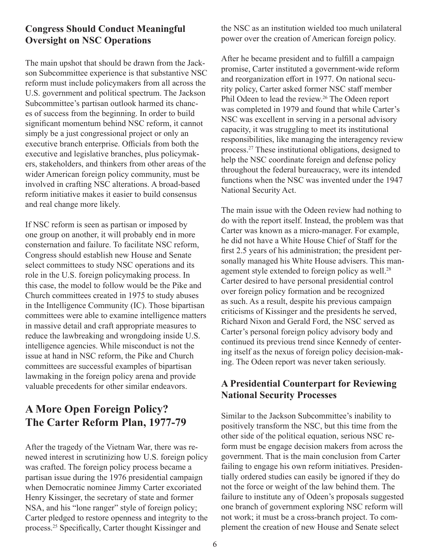#### **Congress Should Conduct Meaningful Oversight on NSC Operations**

The main upshot that should be drawn from the Jackson Subcommittee experience is that substantive NSC reform must include policymakers from all across the U.S. government and political spectrum. The Jackson Subcommittee's partisan outlook harmed its chances of success from the beginning. In order to build significant momentum behind NSC reform, it cannot simply be a just congressional project or only an executive branch enterprise. Officials from both the executive and legislative branches, plus policymakers, stakeholders, and thinkers from other areas of the wider American foreign policy community, must be involved in crafting NSC alterations. A broad-based reform initiative makes it easier to build consensus and real change more likely.

If NSC reform is seen as partisan or imposed by one group on another, it will probably end in more consternation and failure. To facilitate NSC reform, Congress should establish new House and Senate select committees to study NSC operations and its role in the U.S. foreign policymaking process. In this case, the model to follow would be the Pike and Church committees created in 1975 to study abuses in the Intelligence Community (IC). Those bipartisan committees were able to examine intelligence matters in massive detail and craft appropriate measures to reduce the lawbreaking and wrongdoing inside U.S. intelligence agencies. While misconduct is not the issue at hand in NSC reform, the Pike and Church committees are successful examples of bipartisan lawmaking in the foreign policy arena and provide valuable precedents for other similar endeavors.

## **A More Open Foreign Policy? The Carter Reform Plan, 1977-79**

After the tragedy of the Vietnam War, there was renewed interest in scrutinizing how U.S. foreign policy was crafted. The foreign policy process became a partisan issue during the 1976 presidential campaign when Democratic nominee Jimmy Carter excoriated Henry Kissinger, the secretary of state and former NSA, and his "lone ranger" style of foreign policy; Carter pledged to restore openness and integrity to the process.25 Specifically, Carter thought Kissinger and

the NSC as an institution wielded too much unilateral power over the creation of American foreign policy.

After he became president and to fulfill a campaign promise, Carter instituted a government-wide reform and reorganization effort in 1977. On national security policy, Carter asked former NSC staff member Phil Odeen to lead the review.<sup>26</sup> The Odeen report was completed in 1979 and found that while Carter's NSC was excellent in serving in a personal advisory capacity, it was struggling to meet its institutional responsibilities, like managing the interagency review process.27 These institutional obligations, designed to help the NSC coordinate foreign and defense policy throughout the federal bureaucracy, were its intended functions when the NSC was invented under the 1947 National Security Act.

The main issue with the Odeen review had nothing to do with the report itself. Instead, the problem was that Carter was known as a micro-manager. For example, he did not have a White House Chief of Staff for the first 2.5 years of his administration; the president personally managed his White House advisers. This management style extended to foreign policy as well.<sup>28</sup> Carter desired to have personal presidential control over foreign policy formation and be recognized as such. As a result, despite his previous campaign criticisms of Kissinger and the presidents he served, Richard Nixon and Gerald Ford, the NSC served as Carter's personal foreign policy advisory body and continued its previous trend since Kennedy of centering itself as the nexus of foreign policy decision-making. The Odeen report was never taken seriously.

#### **A Presidential Counterpart for Reviewing National Security Processes**

Similar to the Jackson Subcommittee's inability to positively transform the NSC, but this time from the other side of the political equation, serious NSC reform must be engage decision makers from across the government. That is the main conclusion from Carter failing to engage his own reform initiatives. Presidentially ordered studies can easily be ignored if they do not the force or weight of the law behind them. The failure to institute any of Odeen's proposals suggested one branch of government exploring NSC reform will not work; it must be a cross-branch project. To complement the creation of new House and Senate select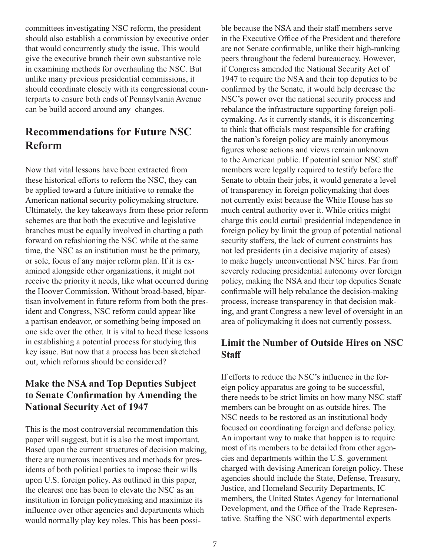committees investigating NSC reform, the president should also establish a commission by executive order that would concurrently study the issue. This would give the executive branch their own substantive role in examining methods for overhauling the NSC. But unlike many previous presidential commissions, it should coordinate closely with its congressional counterparts to ensure both ends of Pennsylvania Avenue can be build accord around any changes.

# **Recommendations for Future NSC Reform**

Now that vital lessons have been extracted from these historical efforts to reform the NSC, they can be applied toward a future initiative to remake the American national security policymaking structure. Ultimately, the key takeaways from these prior reform schemes are that both the executive and legislative branches must be equally involved in charting a path forward on refashioning the NSC while at the same time, the NSC as an institution must be the primary, or sole, focus of any major reform plan. If it is examined alongside other organizations, it might not receive the priority it needs, like what occurred during the Hoover Commission. Without broad-based, bipartisan involvement in future reform from both the president and Congress, NSC reform could appear like a partisan endeavor, or something being imposed on one side over the other. It is vital to heed these lessons in establishing a potential process for studying this key issue. But now that a process has been sketched out, which reforms should be considered?

#### **Make the NSA and Top Deputies Subject to Senate Confirmation by Amending the National Security Act of 1947**

This is the most controversial recommendation this paper will suggest, but it is also the most important. Based upon the current structures of decision making, there are numerous incentives and methods for presidents of both political parties to impose their wills upon U.S. foreign policy. As outlined in this paper, the clearest one has been to elevate the NSC as an institution in foreign policymaking and maximize its influence over other agencies and departments which would normally play key roles. This has been possible because the NSA and their staff members serve in the Executive Office of the President and therefore are not Senate confirmable, unlike their high-ranking peers throughout the federal bureaucracy. However, if Congress amended the National Security Act of 1947 to require the NSA and their top deputies to be confirmed by the Senate, it would help decrease the NSC's power over the national security process and rebalance the infrastructure supporting foreign policymaking. As it currently stands, it is disconcerting to think that officials most responsible for crafting the nation's foreign policy are mainly anonymous figures whose actions and views remain unknown to the American public. If potential senior NSC staff members were legally required to testify before the Senate to obtain their jobs, it would generate a level of transparency in foreign policymaking that does not currently exist because the White House has so much central authority over it. While critics might charge this could curtail presidential independence in foreign policy by limit the group of potential national security staffers, the lack of current constraints has not led presidents (in a decisive majority of cases) to make hugely unconventional NSC hires. Far from severely reducing presidential autonomy over foreign policy, making the NSA and their top deputies Senate confirmable will help rebalance the decision-making process, increase transparency in that decision making, and grant Congress a new level of oversight in an area of policymaking it does not currently possess.

#### **Limit the Number of Outside Hires on NSC Staff**

If efforts to reduce the NSC's influence in the foreign policy apparatus are going to be successful, there needs to be strict limits on how many NSC staff members can be brought on as outside hires. The NSC needs to be restored as an institutional body focused on coordinating foreign and defense policy. An important way to make that happen is to require most of its members to be detailed from other agencies and departments within the U.S. government charged with devising American foreign policy. These agencies should include the State, Defense, Treasury, Justice, and Homeland Security Departments, IC members, the United States Agency for International Development, and the Office of the Trade Representative. Staffing the NSC with departmental experts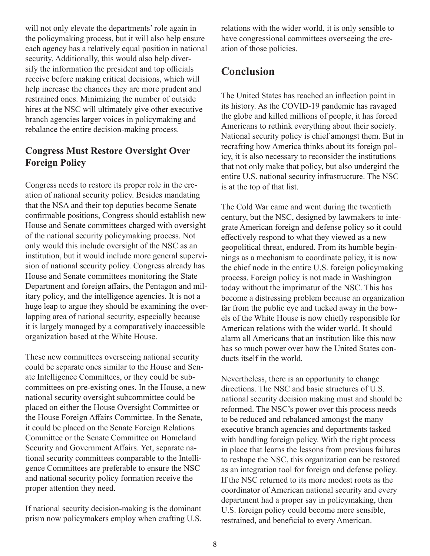will not only elevate the departments' role again in the policymaking process, but it will also help ensure each agency has a relatively equal position in national security. Additionally, this would also help diversify the information the president and top officials receive before making critical decisions, which will help increase the chances they are more prudent and restrained ones. Minimizing the number of outside hires at the NSC will ultimately give other executive branch agencies larger voices in policymaking and rebalance the entire decision-making process.

#### **Congress Must Restore Oversight Over Foreign Policy**

Congress needs to restore its proper role in the creation of national security policy. Besides mandating that the NSA and their top deputies become Senate confirmable positions, Congress should establish new House and Senate committees charged with oversight of the national security policymaking process. Not only would this include oversight of the NSC as an institution, but it would include more general supervision of national security policy. Congress already has House and Senate committees monitoring the State Department and foreign affairs, the Pentagon and military policy, and the intelligence agencies. It is not a huge leap to argue they should be examining the overlapping area of national security, especially because it is largely managed by a comparatively inaccessible organization based at the White House.

These new committees overseeing national security could be separate ones similar to the House and Senate Intelligence Committees, or they could be subcommittees on pre-existing ones. In the House, a new national security oversight subcommittee could be placed on either the House Oversight Committee or the House Foreign Affairs Committee. In the Senate, it could be placed on the Senate Foreign Relations Committee or the Senate Committee on Homeland Security and Government Affairs. Yet, separate national security committees comparable to the Intelligence Committees are preferable to ensure the NSC and national security policy formation receive the proper attention they need.

If national security decision-making is the dominant prism now policymakers employ when crafting U.S. relations with the wider world, it is only sensible to have congressional committees overseeing the creation of those policies.

# **Conclusion**

The United States has reached an inflection point in its history. As the COVID-19 pandemic has ravaged the globe and killed millions of people, it has forced Americans to rethink everything about their society. National security policy is chief amongst them. But in recrafting how America thinks about its foreign policy, it is also necessary to reconsider the institutions that not only make that policy, but also undergird the entire U.S. national security infrastructure. The NSC is at the top of that list.

The Cold War came and went during the twentieth century, but the NSC, designed by lawmakers to integrate American foreign and defense policy so it could effectively respond to what they viewed as a new geopolitical threat, endured. From its humble beginnings as a mechanism to coordinate policy, it is now the chief node in the entire U.S. foreign policymaking process. Foreign policy is not made in Washington today without the imprimatur of the NSC. This has become a distressing problem because an organization far from the public eye and tucked away in the bowels of the White House is now chiefly responsible for American relations with the wider world. It should alarm all Americans that an institution like this now has so much power over how the United States conducts itself in the world.

Nevertheless, there is an opportunity to change directions. The NSC and basic structures of U.S. national security decision making must and should be reformed. The NSC's power over this process needs to be reduced and rebalanced amongst the many executive branch agencies and departments tasked with handling foreign policy. With the right process in place that learns the lessons from previous failures to reshape the NSC, this organization can be restored as an integration tool for foreign and defense policy. If the NSC returned to its more modest roots as the coordinator of American national security and every department had a proper say in policymaking, then U.S. foreign policy could become more sensible, restrained, and beneficial to every American.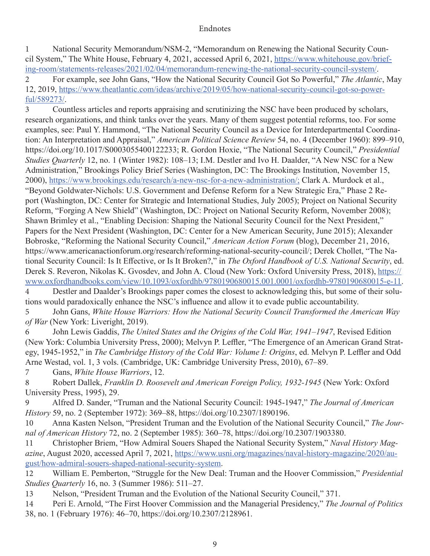1 National Security Memorandum/NSM-2, "Memorandum on Renewing the National Security Council System," The White House, February 4, 2021, accessed April 6, 2021, https://www.whitehouse.gov/briefing-room/statements-releases/2021/02/04/memorandum-renewing-the-national-security-council-system/.

2 For example, see John Gans, "How the National Security Council Got So Powerful," *The Atlantic*, May 12, 2019, https://www.theatlantic.com/ideas/archive/2019/05/how-national-security-council-got-so-powerful/589273/.

3 Countless articles and reports appraising and scrutinizing the NSC have been produced by scholars, research organizations, and think tanks over the years. Many of them suggest potential reforms, too. For some examples, see: Paul Y. Hammond, "The National Security Council as a Device for Interdepartmental Coordination: An Interpretation and Appraisal," *American Political Science Review* 54, no. 4 (December 1960): 899–910, https://doi.org/10.1017/S0003055400122233; R. Gordon Hoxie, "The National Security Council," *Presidential Studies Quarterly* 12, no. 1 (Winter 1982): 108–13; I.M. Destler and Ivo H. Daalder, "A New NSC for a New Administration," Brookings Policy Brief Series (Washington, DC: The Brookings Institution, November 15, 2000), https://www.brookings.edu/research/a-new-nsc-for-a-new-administration/; Clark A. Murdock et al., "Beyond Goldwater-Nichols: U.S. Government and Defense Reform for a New Strategic Era," Phase 2 Report (Washington, DC: Center for Strategic and International Studies, July 2005); Project on National Security Reform, "Forging A New Shield" (Washington, DC: Project on National Security Reform, November 2008); Shawn Brimley et al., "Enabling Decision: Shaping the National Security Council for the Next President," Papers for the Next President (Washington, DC: Center for a New American Security, June 2015); Alexander Bobroske, "Reforming the National Security Council," *American Action Forum* (blog), December 21, 2016, https://www.americanactionforum.org/research/reforming-national-security-council/; Derek Chollet, "The National Security Council: Is It Effective, or Is It Broken?," in *The Oxford Handbook of U.S. National Security*, ed. Derek S. Reveron, Nikolas K. Gvosdev, and John A. Cloud (New York: Oxford University Press, 2018), https:// www.oxfordhandbooks.com/view/10.1093/oxfordhb/9780190680015.001.0001/oxfordhb-9780190680015-e-11.

4 Destler and Daalder's Brookings paper comes the closest to acknowledging this, but some of their solutions would paradoxically enhance the NSC's influence and allow it to evade public accountability.

5 John Gans, *White House Warriors: How the National Security Council Transformed the American Way of War* (New York: Liveright, 2019).

6 John Lewis Gaddis, *The United States and the Origins of the Cold War, 1941–1947*, Revised Edition (New York: Columbia University Press, 2000); Melvyn P. Leffler, "The Emergence of an American Grand Strategy, 1945-1952," in *The Cambridge History of the Cold War: Volume I: Origins*, ed. Melvyn P. Leffler and Odd Arne Westad, vol. 1, 3 vols. (Cambridge, UK: Cambridge University Press, 2010), 67–89.

7 Gans, *White House Warriors*, 12.

8 Robert Dallek, *Franklin D. Roosevelt and American Foreign Policy, 1932-1945* (New York: Oxford University Press, 1995), 29.

9 Alfred D. Sander, "Truman and the National Security Council: 1945-1947," *The Journal of American History* 59, no. 2 (September 1972): 369–88, https://doi.org/10.2307/1890196.

10 Anna Kasten Nelson, "President Truman and the Evolution of the National Security Council," *The Journal of American History* 72, no. 2 (September 1985): 360–78, https://doi.org/10.2307/1903380.

11 Christopher Briem, "How Admiral Souers Shaped the National Security System," *Naval History Magazine*, August 2020, accessed April 7, 2021, https://www.usni.org/magazines/naval-history-magazine/2020/august/how-admiral-souers-shaped-national-security-system.

12 William E. Pemberton, "Struggle for the New Deal: Truman and the Hoover Commission," *Presidential Studies Quarterly* 16, no. 3 (Summer 1986): 511–27.

13 Nelson, "President Truman and the Evolution of the National Security Council," 371.

14 Peri E. Arnold, "The First Hoover Commission and the Managerial Presidency," *The Journal of Politics* 38, no. 1 (February 1976): 46–70, https://doi.org/10.2307/2128961.